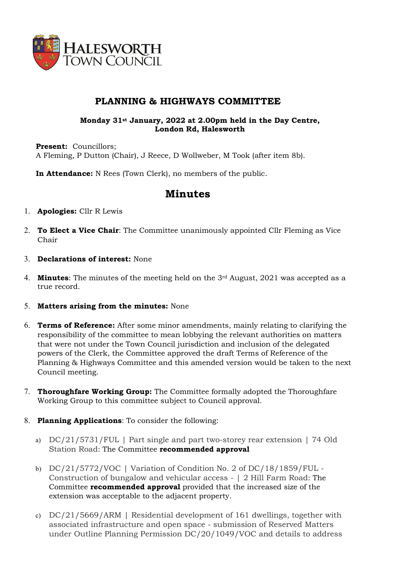

## PLANNING & HIGHWAYS COMMITTEE

### Monday 31st January, 2022 at 2.00pm held in the Day Centre, London Rd, Halesworth

Present: Councillors: A Fleming, P Dutton (Chair), J Reece, D Wollweber, M Took (after item 8b).

In Attendance: N Rees (Town Clerk), no members of the public.

# Minutes

- 1. Apologies: Cllr R Lewis
- 2. To Elect a Vice Chair: The Committee unanimously appointed Cllr Fleming as Vice Chair
- 3. Declarations of interest: None
- 4. **Minutes:** The minutes of the meeting held on the  $3<sup>rd</sup>$  August, 2021 was accepted as a true record.
- 5. Matters arising from the minutes: None
- 6. Terms of Reference: After some minor amendments, mainly relating to clarifying the responsibility of the committee to mean lobbying the relevant authorities on matters that were not under the Town Council jurisdiction and inclusion of the delegated powers of the Clerk, the Committee approved the draft Terms of Reference of the Planning & Highways Committee and this amended version would be taken to the next Council meeting.
- 7. Thoroughfare Working Group: The Committee formally adopted the Thoroughfare Working Group to this committee subject to Council approval.
- 8. Planning Applications: To consider the following:
	- a) DC/21/5731/FUL | Part single and part two-storey rear extension | 74 Old Station Road: The Committee recommended approval
	- b) DC/21/5772/VOC | Variation of Condition No. 2 of DC/18/1859/FUL Construction of bungalow and vehicular access - | 2 Hill Farm Road: The Committee recommended approval provided that the increased size of the extension was acceptable to the adjacent property.
	- c) DC/21/5669/ARM | Residential development of 161 dwellings, together with associated infrastructure and open space - submission of Reserved Matters under Outline Planning Permission DC/20/1049/VOC and details to address